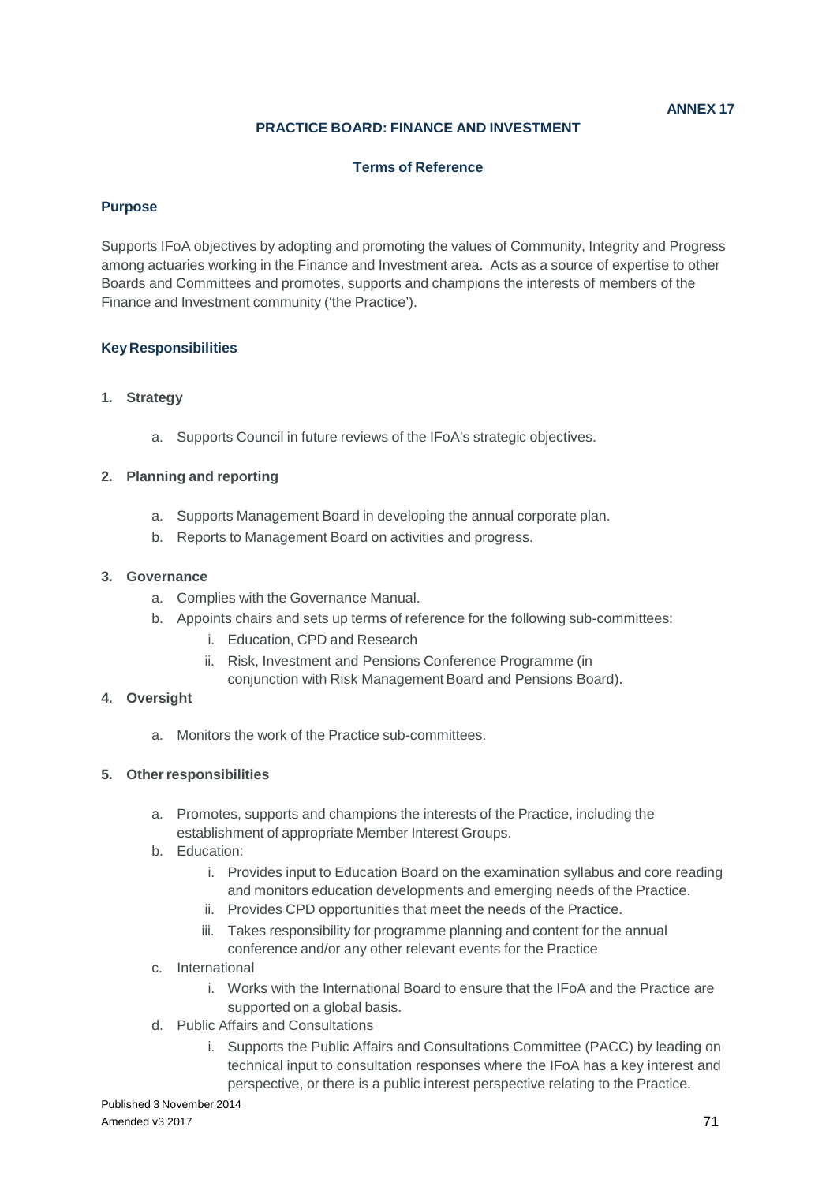### **ANNEX 17**

## **PRACTICE BOARD: FINANCE AND INVESTMENT**

### **Terms of Reference**

### **Purpose**

Supports IFoA objectives by adopting and promoting the values of Community, Integrity and Progress among actuaries working in the Finance and Investment area. Acts as a source of expertise to other Boards and Committees and promotes, supports and champions the interests of members of the Finance and Investment community ('the Practice').

## **Key Responsibilities**

### **1. Strategy**

a. Supports Council in future reviews of the IFoA's strategic objectives.

## **2. Planning and reporting**

- a. Supports Management Board in developing the annual corporate plan.
- b. Reports to Management Board on activities and progress.

### **3. Governance**

- a. Complies with the Governance Manual.
- b. Appoints chairs and sets up terms of reference for the following sub-committees:
	- i. Education, CPD and Research
	- ii. Risk, Investment and Pensions Conference Programme (in
	- conjunction with Risk Management Board and Pensions Board).

### **4. Oversight**

a. Monitors the work of the Practice sub-committees.

### **5. Other responsibilities**

- a. Promotes, supports and champions the interests of the Practice, including the establishment of appropriate Member Interest Groups.
- b. Education:
	- i. Provides input to Education Board on the examination syllabus and core reading and monitors education developments and emerging needs of the Practice.
	- ii. Provides CPD opportunities that meet the needs of the Practice.
	- iii. Takes responsibility for programme planning and content for the annual conference and/or any other relevant events for the Practice
- c. International
	- i. Works with the International Board to ensure that the IFoA and the Practice are supported on a global basis.
- d. Public Affairs and Consultations
	- i. Supports the Public Affairs and Consultations Committee (PACC) by leading on technical input to consultation responses where the IFoA has a key interest and perspective, or there is a public interest perspective relating to the Practice.